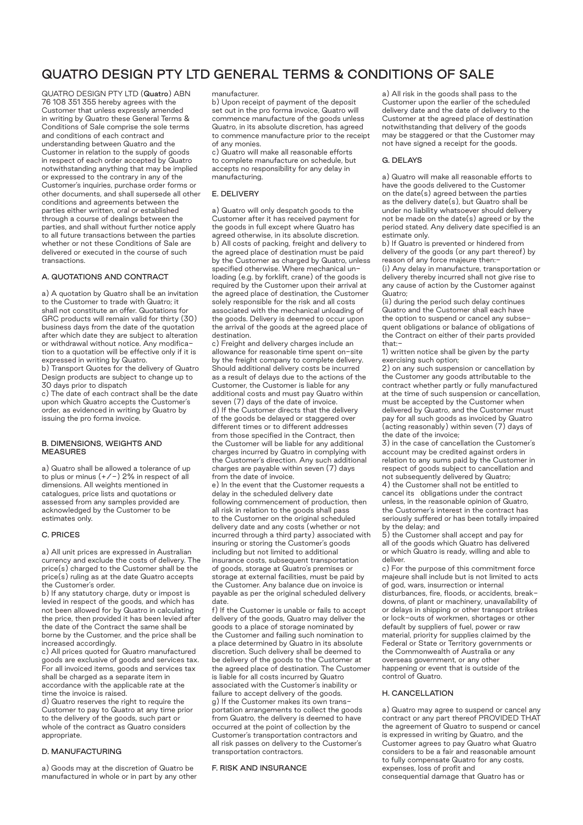# QUATRO DESIGN PTY LTD GENERAL TERMS & CONDITIONS OF SALE

QUATRO DESIGN PTY LTD (Quatro) ABN 76 108 351 355 hereby agrees with the Customer that unless expressly amended in writing by Quatro these General Terms & Conditions of Sale comprise the sole terms and conditions of each contract and understanding between Quatro and the Customer in relation to the supply of goods in respect of each order accepted by Quatro notwithstanding anything that may be implied or expressed to the contrary in any of the Customer's inquiries, purchase order forms or other documents, and shall supersede all other conditions and agreements between the parties either written, oral or established through a course of dealings between the parties, and shall without further notice apply to all future transactions between the parties whether or not these Conditions of Sale are delivered or executed in the course of such transactions.

# A. QUOTATIONS AND CONTRACT

a) A quotation by Quatro shall be an invitation to the Customer to trade with Quatro; it shall not constitute an offer. Quotations for GRC products will remain valid for thirty (30) business days from the date of the quotation after which date they are subject to alteration or withdrawal without notice. Any modification to a quotation will be effective only if it is expressed in writing by Quatro.

b) Transport Quotes for the delivery of Quatro Design products are subject to change up to 30 days prior to dispatch

c) The date of each contract shall be the date upon which Quatro accepts the Customer's order, as evidenced in writing by Quatro by issuing the pro forma invoice.

## B. DIMENSIONS, WEIGHTS AND MEASURES

a) Quatro shall be allowed a tolerance of up to plus or minus  $(+/-)$  2% in respect of all dimensions. All weights mentioned in catalogues, price lists and quotations or assessed from any samples provided are acknowledged by the Customer to be estimates only.

## C. PRICES

a) All unit prices are expressed in Australian currency and exclude the costs of delivery. The price(s) charged to the Customer shall be the price(s) ruling as at the date Quatro accepts the Customer's order.

b) If any statutory charge, duty or impost is levied in respect of the goods, and which has not been allowed for by Quatro in calculating the price, then provided it has been levied after the date of the Contract the same shall be borne by the Customer, and the price shall be increased accordingly.

c) All prices quoted for Quatro manufactured goods are exclusive of goods and services tax. For all invoiced items, goods and services tax shall be charged as a separate item in accordance with the applicable rate at the time the invoice is raised.

d) Quatro reserves the right to require the Customer to pay to Quatro at any time prior to the delivery of the goods, such part or whole of the contract as Quatro considers appropriate.

# D. MANUFACTURING

a) Goods may at the discretion of Quatro be manufactured in whole or in part by any other manufacturer.

b) Upon receipt of payment of the deposit set out in the pro forma invoice, Quatro will commence manufacture of the goods unless Quatro, in its absolute discretion, has agreed to commence manufacture prior to the receipt of any monies.

c) Quatro will make all reasonable efforts to complete manufacture on schedule, but accepts no responsibility for any delay in manufacturing.

## E. DELIVERY

a) Quatro will only despatch goods to the Customer after it has received payment for the goods in full except where Quatro has agreed otherwise, in its absolute discretion. b) All costs of packing, freight and delivery to the agreed place of destination must be paid by the Customer as charged by Quatro, unless specified otherwise. Where mechanical unloading (e.g. by forklift, crane) of the goods is required by the Customer upon their arrival at the agreed place of destination, the Customer solely responsible for the risk and all costs associated with the mechanical unloading of the goods. Delivery is deemed to occur upon the arrival of the goods at the agreed place of destination.

c) Freight and delivery charges include an allowance for reasonable time spent on-site by the freight company to complete delivery. Should additional delivery costs be incurred as a result of delays due to the actions of the Customer, the Customer is liable for any additional costs and must pay Quatro within seven (7) days of the date of invoice. d) If the Customer directs that the delivery of the goods be delayed or staggered over different times or to different addresses from those specified in the Contract, then the Customer will be liable for any additional charges incurred by Quatro in complying with the Customer's direction. Any such additional charges are payable within seven (7) days from the date of invoice.

e) In the event that the Customer requests a delay in the scheduled delivery date following commencement of production, then all risk in relation to the goods shall pass to the Customer on the original scheduled delivery date and any costs (whether or not incurred through a third party) associated with insuring or storing the Customer's goods including but not limited to additional insurance costs, subsequent transportation of goods, storage at Quatro's premises or storage at external facilities, must be paid by the Customer. Any balance due on invoice is payable as per the original scheduled delivery date

f) If the Customer is unable or fails to accept delivery of the goods, Quatro may deliver the goods to a place of storage nominated by the Customer and failing such nomination to a place determined by Quatro in its absolute discretion. Such delivery shall be deemed to be delivery of the goods to the Customer at the agreed place of destination. The Customer is liable for all costs incurred by Quatro associated with the Customer's inability or failure to accept delivery of the goods. g) If the Customer makes its own transportation arrangements to collect the goods from Quatro, the delivery is deemed to have occurred at the point of collection by the Customer's transportation contractors and all risk passes on delivery to the Customer's transportation contractors.

## F. RISK AND INSURANCE

a) All risk in the goods shall pass to the Customer upon the earlier of the scheduled delivery date and the date of delivery to the Customer at the agreed place of destination notwithstanding that delivery of the goods may be staggered or that the Customer may not have signed a receipt for the goods.

### G. DELAYS

a) Quatro will make all reasonable efforts to have the goods delivered to the Customer on the date(s) agreed between the parties as the delivery date(s), but Quatro shall be under no liability whatsoever should delivery not be made on the date(s) agreed or by the period stated. Any delivery date specified is an estimate only.

b) If Quatro is prevented or hindered from delivery of the goods (or any part thereof) by reason of any force majeure then:- (i) Any delay in manufacture, transportation or

delivery thereby incurred shall not give rise to any cause of action by the Customer against Quatro;

(ii) during the period such delay continues Quatro and the Customer shall each have the option to suspend or cancel any subsequent obligations or balance of obligations of the Contract on either of their parts provided that:-

1) written notice shall be given by the party exercising such option;

2) on any such suspension or cancellation by the Customer any goods attributable to the contract whether partly or fully manufactured at the time of such suspension or cancellation, must be accepted by the Customer when delivered by Quatro, and the Customer must pay for all such goods as invoiced by Quatro (acting reasonably) within seven (7) days of the date of the invoice;

3) in the case of cancellation the Customer's account may be credited against orders in relation to any sums paid by the Customer in respect of goods subject to cancellation and not subsequently delivered by Quatro; 4) the Customer shall not be entitled to cancel its obligations under the contract unless, in the reasonable opinion of Quatro, the Customer's interest in the contract has seriously suffered or has been totally impaired by the delay; and

5) the Customer shall accept and pay for all of the goods which Quatro has delivered or which Quatro is ready, willing and able to deliver.

c) For the purpose of this commitment force majeure shall include but is not limited to acts of god, wars, insurrection or internal disturbances, fire, floods, or accidents, breakdowns, of plant or machinery, unavailability of or delays in shipping or other transport strikes or lock-outs of workmen, shortages or other default by suppliers of fuel, power or raw material, priority for supplies claimed by the Federal or State or Territory governments or the Commonwealth of Australia or any overseas government, or any other happening or event that is outside of the control of Quatro.

### H. CANCELLATION

a) Quatro may agree to suspend or cancel any contract or any part thereof PROVIDED THAT the agreement of Quatro to suspend or cancel is expressed in writing by Quatro, and the Customer agrees to pay Quatro what Quatro considers to be a fair and reasonable amount to fully compensate Quatro for any costs, expenses, loss of profit and consequential damage that Quatro has or